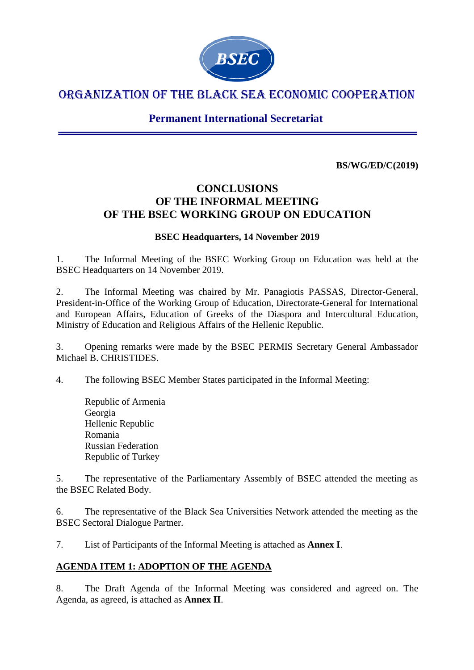

# ORGANIZATION OF THE BLACK SEA ECONOMIC COOPERATION

**Permanent International Secretariat**

**BS/WG/ED/C(2019)**

# **CONCLUSIONS OF THE INFORMAL MEETING OF THE BSEC WORKING GROUP ON EDUCATION**

# **BSEC Headquarters, 14 November 2019**

1. The Informal Meeting of the BSEC Working Group on Education was held at the BSEC Headquarters on 14 November 2019.

2. The Informal Meeting was chaired by Mr. Panagiotis PASSAS, Director-General, President-in-Office of the Working Group of Education, Directorate-General for International and European Affairs, Education of Greeks of the Diaspora and Intercultural Education, Ministry of Education and Religious Affairs of the Hellenic Republic.

3. Opening remarks were made by the BSEC PERMIS Secretary General Ambassador Michael B. CHRISTIDES.

4. The following BSEC Member States participated in the Informal Meeting:

Republic of Armenia Georgia Hellenic Republic Romania Russian Federation Republic of Turkey

5. The representative of the Parliamentary Assembly of BSEC attended the meeting as the BSEC Related Body.

6. The representative of the Black Sea Universities Network attended the meeting as the BSEC Sectoral Dialogue Partner.

7. List of Participants of the Informal Meeting is attached as **Annex I**.

# **AGENDA ITEM 1: ADOPTION OF THE AGENDA**

8. The Draft Agenda of the Informal Meeting was considered and agreed on. The Agenda, as agreed, is attached as **Annex II**.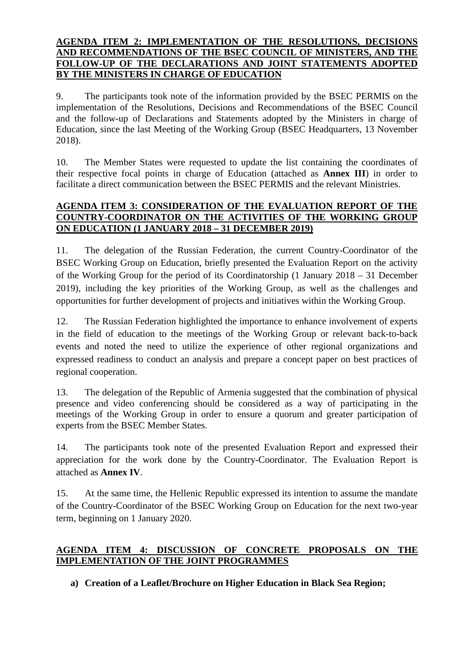#### **AGENDA ITEM 2: IMPLEMENTATION OF THE RESOLUTIONS, DECISIONS AND RECOMMENDATIONS OF THE BSEC COUNCIL OF MINISTERS, AND THE FOLLOW-UP OF THE DECLARATIONS AND JOINT STATEMENTS ADOPTED BY THE MINISTERS IN CHARGE OF EDUCATION**

9. The participants took note of the information provided by the BSEC PERMIS on the implementation of the Resolutions, Decisions and Recommendations of the BSEC Council and the follow-up of Declarations and Statements adopted by the Ministers in charge of Education, since the last Meeting of the Working Group (BSEC Headquarters, 13 November 2018).

10. The Member States were requested to update the list containing the coordinates of their respective focal points in charge of Education (attached as **Annex III**) in order to facilitate a direct communication between the BSEC PERMIS and the relevant Ministries.

#### **AGENDA ITEM 3: CONSIDERATION OF THE EVALUATION REPORT OF THE COUNTRY-COORDINATOR ON THE ACTIVITIES OF THE WORKING GROUP ON EDUCATION (1 JANUARY 2018 – 31 DECEMBER 2019)**

11. The delegation of the Russian Federation, the current Country-Coordinator of the BSEC Working Group on Education, briefly presented the Evaluation Report on the activity of the Working Group for the period of its Coordinatorship (1 January 2018 – 31 December 2019), including the key priorities of the Working Group, as well as the challenges and opportunities for further development of projects and initiatives within the Working Group.

12. The Russian Federation highlighted the importance to enhance involvement of experts in the field of education to the meetings of the Working Group or relevant back-to-back events and noted the need to utilize the experience of other regional organizations and expressed readiness to conduct an analysis and prepare a concept paper on best practices of regional cooperation.

13. The delegation of the Republic of Armenia suggested that the combination of physical presence and video conferencing should be considered as a way of participating in the meetings of the Working Group in order to ensure a quorum and greater participation of experts from the BSEC Member States.

14. The participants took note of the presented Evaluation Report and expressed their appreciation for the work done by the Country-Coordinator. The Evaluation Report is attached as **Annex IV**.

15. At the same time, the Hellenic Republic expressed its intention to assume the mandate of the Country-Coordinator of the BSEC Working Group on Education for the next two-year term, beginning on 1 January 2020.

# **AGENDA ITEM 4: DISCUSSION OF CONCRETE PROPOSALS ON THE IMPLEMENTATION OF THE JOINT PROGRAMMES**

**a) Creation of a Leaflet/Brochure on Higher Education in Black Sea Region;**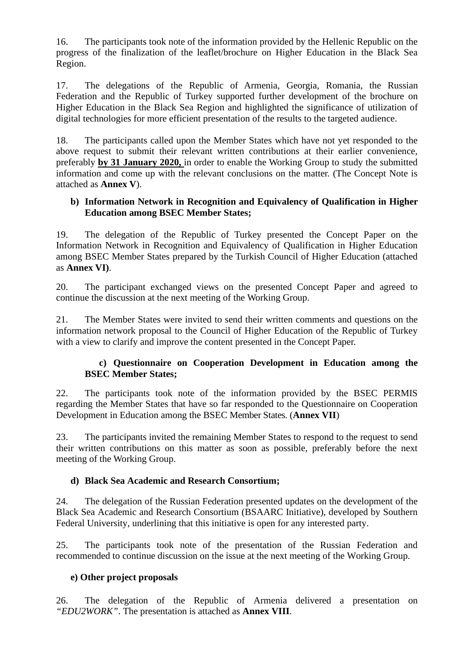16. The participants took note of the information provided by the Hellenic Republic on the progress of the finalization of the leaflet/brochure on Higher Education in the Black Sea Region.

17. The delegations of the Republic of Armenia, Georgia, Romania, the Russian Federation and the Republic of Turkey supported further development of the brochure on Higher Education in the Black Sea Region and highlighted the significance of utilization of digital technologies for more efficient presentation of the results to the targeted audience.

18. The participants called upon the Member States which have not yet responded to the above request to submit their relevant written contributions at their earlier convenience, preferably **by 31 January 2020,** in order to enable the Working Group to study the submitted information and come up with the relevant conclusions on the matter. (The Concept Note is attached as **Annex V**).

#### **b) Information Network in Recognition and Equivalency of Qualification in Higher Education among BSEC Member States;**

19. The delegation of the Republic of Turkey presented the Concept Paper on the Information Network in Recognition and Equivalency of Qualification in Higher Education among BSEC Member States prepared by the Turkish Council of Higher Education (attached as **Annex VI)**.

20. The participant exchanged views on the presented Concept Paper and agreed to continue the discussion at the next meeting of the Working Group.

21. The Member States were invited to send their written comments and questions on the information network proposal to the Council of Higher Education of the Republic of Turkey with a view to clarify and improve the content presented in the Concept Paper.

#### **c) Questionnaire on Cooperation Development in Education among the BSEC Member States;**

22. The participants took note of the information provided by the BSEC PERMIS regarding the Member States that have so far responded to the Questionnaire on Cooperation Development in Education among the BSEC Member States. (**Annex VII**)

23. The participants invited the remaining Member States to respond to the request to send their written contributions on this matter as soon as possible, preferably before the next meeting of the Working Group.

#### **d) Black Sea Academic and Research Consortium;**

24. The delegation of the Russian Federation presented updates on the development of the Black Sea Academic and Research Consortium (BSAARC Initiative), developed by Southern Federal University, underlining that this initiative is open for any interested party.

25. The participants took note of the presentation of the Russian Federation and recommended to continue discussion on the issue at the next meeting of the Working Group.

# **e) Other project proposals**

26. The delegation of the Republic of Armenia delivered a presentation on *"EDU2WORK"*. The presentation is attached as **Annex VIII**.